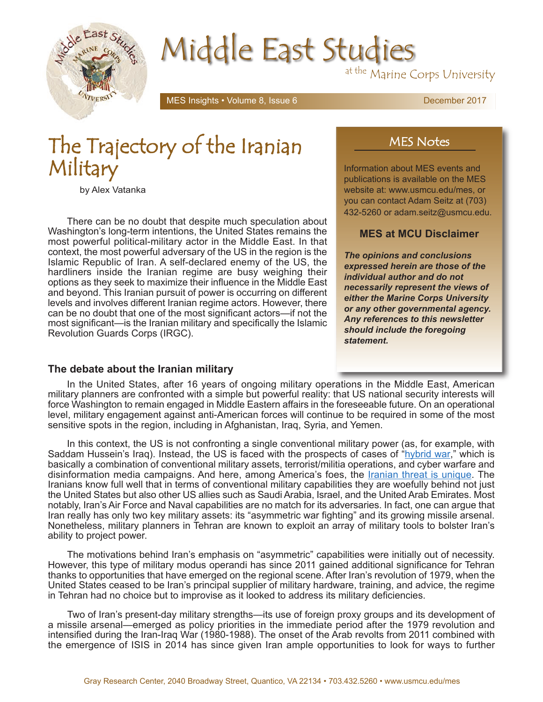

# Middle East Studies

at the Marine Corps University

MES Insights • Volume 8, Issue 6 December 2017

# The Trajectory of the Iranian Military

by Alex Vatanka

There can be no doubt that despite much speculation about Washington's long-term intentions, the United States remains the most powerful political-military actor in the Middle East. In that context, the most powerful adversary of the US in the region is the Islamic Republic of Iran. A self-declared enemy of the US, the hardliners inside the Iranian regime are busy weighing their options as they seek to maximize their influence in the Middle East and beyond. This Iranian pursuit of power is occurring on different levels and involves different Iranian regime actors. However, there can be no doubt that one of the most significant actors—if not the most significant—is the Iranian military and specifically the Islamic Revolution Guards Corps (IRGC).

## MES Notes

Information about MES events and publications is available on the MES website at: www.usmcu.edu/mes, or you can contact Adam Seitz at (703) 432-5260 or adam.seitz@usmcu.edu.

### **MES at MCU Disclaimer**

*The opinions and conclusions expressed herein are those of the individual author and do not necessarily represent the views of either the Marine Corps University or any other governmental agency. Any references to this newsletter should include the foregoing statement.*

#### **The debate about the Iranian military**

In the United States, after 16 years of ongoing military operations in the Middle East, American military planners are confronted with a simple but powerful reality: that US national security interests will force Washington to remain engaged in Middle Eastern affairs in the foreseeable future. On an operational level, military engagement against anti-American forces will continue to be required in some of the most sensitive spots in the region, including in Afghanistan, Iraq, Syria, and Yemen.

In this context, the US is not confronting a single conventional military power (as, for example, with Saddam Hussein's Iraq). Instead, the US is faced with the prospects of cases of ["hybrid war,](http://www.ndc.nato.int/news/news.php?icode=885)" which is basically a combination of conventional military assets, terrorist/militia operations, and cyber warfare and disinformation media campaigns. And here, among America's foes, the [Iranian threat is unique.](https://www.usmcu.edu/sites/default/files/MES/MES_insights_v8i1.pdf) The Iranians know full well that in terms of conventional military capabilities they are woefully behind not just the United States but also other US allies such as Saudi Arabia, Israel, and the United Arab Emirates. Most notably, Iran's Air Force and Naval capabilities are no match for its adversaries. In fact, one can argue that Iran really has only two key military assets: its "asymmetric war fighting" and its growing missile arsenal. Nonetheless, military planners in Tehran are known to exploit an array of military tools to bolster Iran's ability to project power.

The motivations behind Iran's emphasis on "asymmetric" capabilities were initially out of necessity. However, this type of military modus operandi has since 2011 gained additional significance for Tehran thanks to opportunities that have emerged on the regional scene. After Iran's revolution of 1979, when the United States ceased to be Iran's principal supplier of military hardware, training, and advice, the regime in Tehran had no choice but to improvise as it looked to address its military deficiencies.

Two of Iran's present-day military strengths—its use of foreign proxy groups and its development of a missile arsenal—emerged as policy priorities in the immediate period after the 1979 revolution and intensified during the Iran-Iraq War (1980-1988). The onset of the Arab revolts from 2011 combined with the emergence of ISIS in 2014 has since given Iran ample opportunities to look for ways to further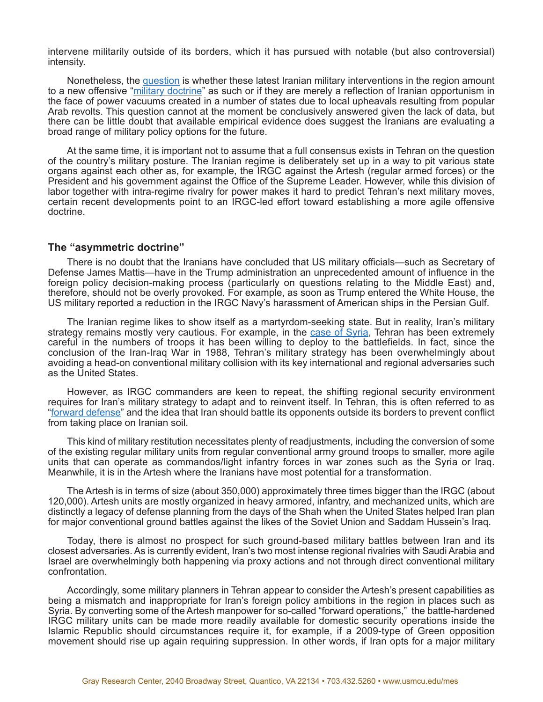intervene militarily outside of its borders, which it has pursued with notable (but also controversial) intensity.

Nonetheless, the [question](http://nationalinterest.org/feature/what-comes-next-irans-defense-doctrine-18360) is whether these latest Iranian military interventions in the region amount to a new offensive ["military doctrine"](http://bit.ly/2uGepq6) as such or if they are merely a reflection of Iranian opportunism in the face of power vacuums created in a number of states due to local upheavals resulting from popular Arab revolts. This question cannot at the moment be conclusively answered given the lack of data, but there can be little doubt that available empirical evidence does suggest the Iranians are evaluating a broad range of military policy options for the future.

At the same time, it is important not to assume that a full consensus exists in Tehran on the question of the country's military posture. The Iranian regime is deliberately set up in a way to pit various state organs against each other as, for example, the IRGC against the Artesh (regular armed forces) or the President and his government against the Office of the Supreme Leader. However, while this division of labor together with intra-regime rivalry for power makes it hard to predict Tehran's next military moves, certain recent developments point to an IRGC-led effort toward establishing a more agile offensive doctrine.

#### **The "asymmetric doctrine"**

There is no doubt that the Iranians have concluded that US military officials—such as Secretary of Defense James Mattis—have in the Trump administration an unprecedented amount of influence in the foreign policy decision-making process (particularly on questions relating to the Middle East) and, therefore, should not be overly provoked. For example, as soon as Trump entered the White House, the US military reported a reduction in the IRGC Navy's harassment of American ships in the Persian Gulf.

The Iranian regime likes to show itself as a martyrdom-seeking state. But in reality, Iran's military strategy remains mostly very cautious. For example, in the [case of Syria,](http://www.nybooks.com/daily/2017/04/13/syria-hidden-power-of-iran/) Tehran has been extremely careful in the numbers of troops it has been willing to deploy to the battlefields. In fact, since the conclusion of the Iran-Iraq War in 1988, Tehran's military strategy has been overwhelmingly about avoiding a head-on conventional military collision with its key international and regional adversaries such as the United States.

However, as IRGC commanders are keen to repeat, the shifting regional security environment requires for Iran's military strategy to adapt and to reinvent itself. In Tehran, this is often referred to as ["forward defense"](http://www.aei.org/publication/iranian-concepts-of-warfare-understanding-tehrans-evolving-military-doctrines/) and the idea that Iran should battle its opponents outside its borders to prevent conflict from taking place on Iranian soil.

This kind of military restitution necessitates plenty of readjustments, including the conversion of some of the existing regular military units from regular conventional army ground troops to smaller, more agile units that can operate as commandos/light infantry forces in war zones such as the Syria or Iraq. Meanwhile, it is in the Artesh where the Iranians have most potential for a transformation.

The Artesh is in terms of size (about 350,000) approximately three times bigger than the IRGC (about 120,000). Artesh units are mostly organized in heavy armored, infantry, and mechanized units, which are distinctly a legacy of defense planning from the days of the Shah when the United States helped Iran plan for major conventional ground battles against the likes of the Soviet Union and Saddam Hussein's Iraq.

Today, there is almost no prospect for such ground-based military battles between Iran and its closest adversaries. As is currently evident, Iran's two most intense regional rivalries with Saudi Arabia and Israel are overwhelmingly both happening via proxy actions and not through direct conventional military confrontation.

Accordingly, some military planners in Tehran appear to consider the Artesh's present capabilities as being a mismatch and inappropriate for Iran's foreign policy ambitions in the region in places such as Syria. By converting some of the Artesh manpower for so-called "forward operations," the battle-hardened IRGC military units can be made more readily available for domestic security operations inside the Islamic Republic should circumstances require it, for example, if a 2009-type of Green opposition movement should rise up again requiring suppression. In other words, if Iran opts for a major military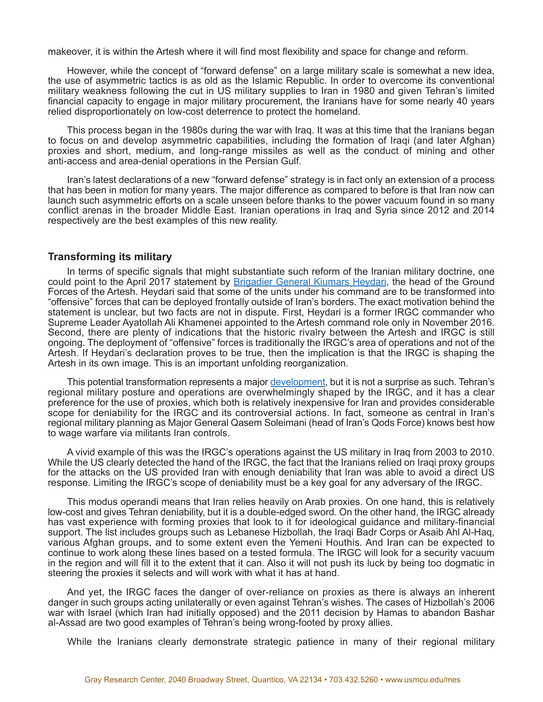makeover, it is within the Artesh where it will find most flexibility and space for change and reform.

However, while the concept of "forward defense" on a large military scale is somewhat a new idea, the use of asymmetric tactics is as old as the Islamic Republic. In order to overcome its conventional military weakness following the cut in US military supplies to Iran in 1980 and given Tehran's limited financial capacity to engage in major military procurement, the Iranians have for some nearly 40 years relied disproportionately on low-cost deterrence to protect the homeland.

This process began in the 1980s during the war with Iraq. It was at this time that the Iranians began to focus on and develop asymmetric capabilities, including the formation of Iraqi (and later Afghan) proxies and short, medium, and long-range missiles as well as the conduct of mining and other anti-access and area-denial operations in the Persian Gulf.

Iran's latest declarations of a new "forward defense" strategy is in fact only an extension of a process that has been in motion for many years. The major difference as compared to before is that Iran now can launch such asymmetric efforts on a scale unseen before thanks to the power vacuum found in so many conflict arenas in the broader Middle East. Iranian operations in Iraq and Syria since 2012 and 2014 respectively are the best examples of this new reality.

#### **Transforming its military**

In terms of specific signals that might substantiate such reform of the Iranian military doctrine, one could point to the April 2017 statement by [Brigadier General Kiumars Heydari,](http://bit.ly/2oAamH3) the head of the Ground Forces of the Artesh. Heydari said that some of the units under his command are to be transformed into "offensive" forces that can be deployed frontally outside of Iran's borders. The exact motivation behind the statement is unclear, but two facts are not in dispute. First, Heydari is a former IRGC commander who Supreme Leader Ayatollah Ali Khamenei appointed to the Artesh command role only in November 2016. Second, there are plenty of indications that the historic rivalry between the Artesh and IRGC is still ongoing. The deployment of "offensive" forces is traditionally the IRGC's area of operations and not of the Artesh. If Heydari's declaration proves to be true, then the implication is that the IRGC is shaping the Artesh in its own image. This is an important unfolding reorganization.

This potential transformation represents a major [development,](http://bit.ly/2vaOCcC) but it is not a surprise as such. Tehran's regional military posture and operations are overwhelmingly shaped by the IRGC, and it has a clear preference for the use of proxies, which both is relatively inexpensive for Iran and provides considerable scope for deniability for the IRGC and its controversial actions. In fact, someone as central in Iran's regional military planning as Major General Qasem Soleimani (head of Iran's Qods Force) knows best how to wage warfare via militants Iran controls.

A vivid example of this was the IRGC's operations against the US military in Iraq from 2003 to 2010. While the US clearly detected the hand of the IRGC, the fact that the Iranians relied on Iraqi proxy groups for the attacks on the US provided Iran with enough deniability that Iran was able to avoid a direct US response. Limiting the IRGC's scope of deniability must be a key goal for any adversary of the IRGC.

This modus operandi means that Iran relies heavily on Arab proxies. On one hand, this is relatively low-cost and gives Tehran deniability, but it is a double-edged sword. On the other hand, the IRGC already has vast experience with forming proxies that look to it for ideological guidance and military-financial support. The list includes groups such as Lebanese Hizbollah, the Iraqi Badr Corps or Asaib Ahl Al-Haq, various Afghan groups, and to some extent even the Yemeni Houthis. And Iran can be expected to continue to work along these lines based on a tested formula. The IRGC will look for a security vacuum in the region and will fill it to the extent that it can. Also it will not push its luck by being too dogmatic in steering the proxies it selects and will work with what it has at hand.

And yet, the IRGC faces the danger of over-reliance on proxies as there is always an inherent danger in such groups acting unilaterally or even against Tehran's wishes. The cases of Hizbollah's 2006 war with Israel (which Iran had initially opposed) and the 2011 decision by Hamas to abandon Bashar al-Assad are two good examples of Tehran's being wrong-footed by proxy allies.

While the Iranians clearly demonstrate strategic patience in many of their regional military